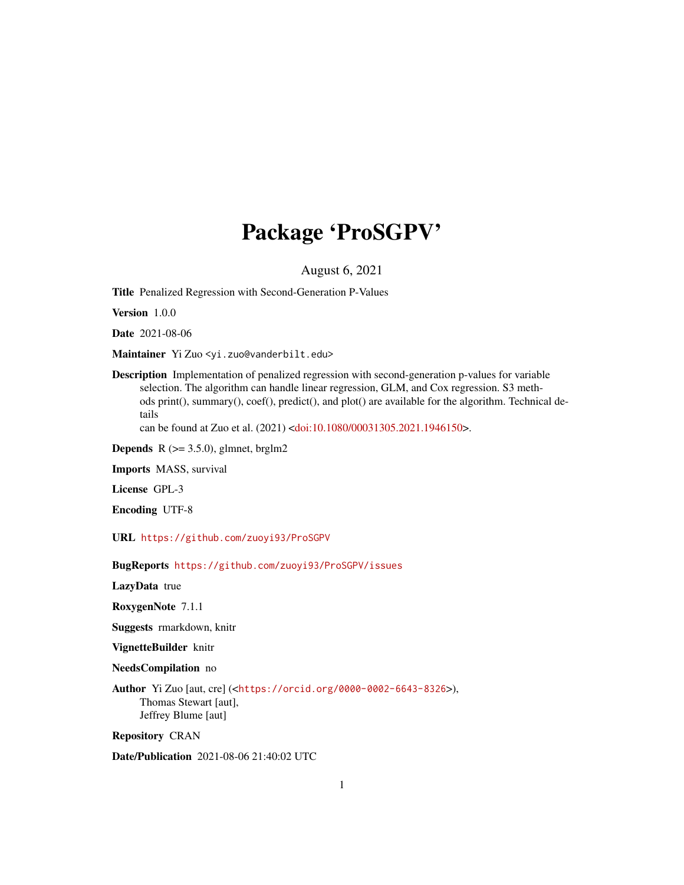# Package 'ProSGPV'

August 6, 2021

Title Penalized Regression with Second-Generation P-Values

Version 1.0.0

Date 2021-08-06

Maintainer Yi Zuo <yi.zuo@vanderbilt.edu>

Description Implementation of penalized regression with second-generation p-values for variable selection. The algorithm can handle linear regression, GLM, and Cox regression. S3 methods print(), summary(), coef(), predict(), and plot() are available for the algorithm. Technical details

can be found at Zuo et al. (2021) [<doi:10.1080/00031305.2021.1946150>](https://doi.org/10.1080/00031305.2021.1946150).

**Depends** R  $(>= 3.5.0)$ , glmnet, brglm2

Imports MASS, survival

License GPL-3

Encoding UTF-8

URL <https://github.com/zuoyi93/ProSGPV>

BugReports <https://github.com/zuoyi93/ProSGPV/issues>

LazyData true

RoxygenNote 7.1.1

Suggests rmarkdown, knitr

VignetteBuilder knitr

NeedsCompilation no

Author Yi Zuo [aut, cre] (<<https://orcid.org/0000-0002-6643-8326>>), Thomas Stewart [aut], Jeffrey Blume [aut]

Repository CRAN

Date/Publication 2021-08-06 21:40:02 UTC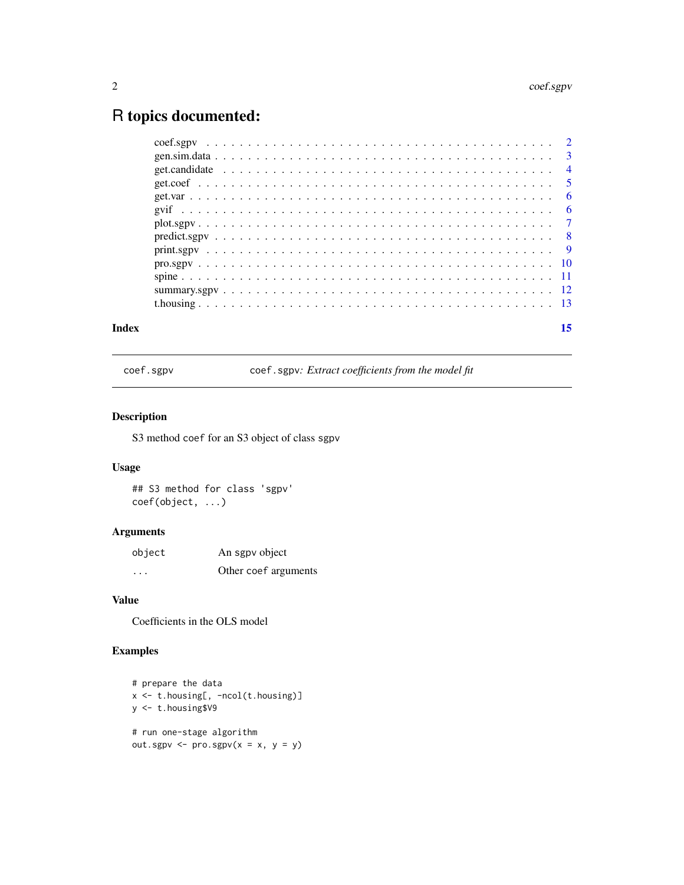## <span id="page-1-0"></span>R topics documented:

| Index |                                                                                                                     | 15 |
|-------|---------------------------------------------------------------------------------------------------------------------|----|
|       |                                                                                                                     |    |
|       |                                                                                                                     |    |
|       |                                                                                                                     |    |
|       |                                                                                                                     |    |
|       |                                                                                                                     |    |
|       | $predictsgpv \dots \dots \dots \dots \dots \dots \dots \dots \dots \dots \dots \dots \dots \dots \dots \dots \dots$ |    |
|       |                                                                                                                     |    |
|       |                                                                                                                     |    |
|       |                                                                                                                     |    |
|       |                                                                                                                     |    |
|       |                                                                                                                     |    |
|       |                                                                                                                     |    |
|       |                                                                                                                     |    |

<span id="page-1-1"></span>coef.sgpv coef.sgpv*: Extract coefficients from the model fit*

#### Description

S3 method coef for an S3 object of class sgpv

#### Usage

## S3 method for class 'sgpv' coef(object, ...)

#### Arguments

| object   | An sgpv object       |
|----------|----------------------|
| $\cdots$ | Other coef arguments |

#### Value

Coefficients in the OLS model

```
# prepare the data
x <- t.housing[, -ncol(t.housing)]
y <- t.housing$V9
# run one-stage algorithm
out.sgpv \leq pro.sgpv(x = x, y = y)
```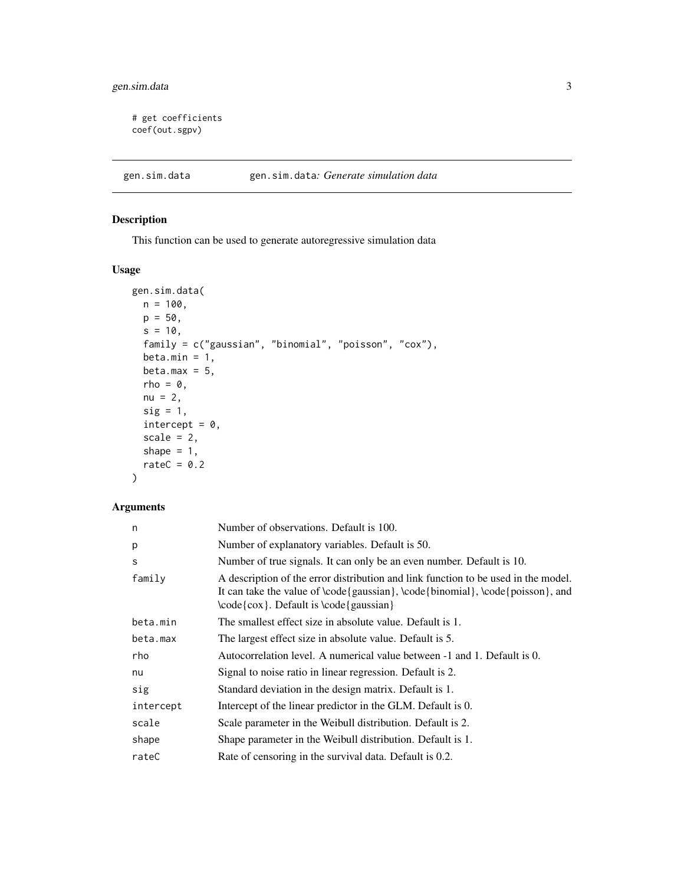#### <span id="page-2-0"></span>gen.sim.data 3

```
# get coefficients
coef(out.sgpv)
```
gen.sim.data gen.sim.data*: Generate simulation data*

#### Description

This function can be used to generate autoregressive simulation data

#### Usage

```
gen.sim.data(
 n = 100,p = 50,
 s = 10,
 family = c("gaussian", "binomial", "poisson", "cox"),
 beta.min = 1,
 beta.max = 5,
 rho = 0,
 nu = 2,
  sig = 1,
  intercept = 0,
 scale = 2,
 shape = 1,
 rateC = 0.2)
```
#### Arguments

| n         | Number of observations. Default is 100.                                                                                                                                                                              |
|-----------|----------------------------------------------------------------------------------------------------------------------------------------------------------------------------------------------------------------------|
| p         | Number of explanatory variables. Default is 50.                                                                                                                                                                      |
| S         | Number of true signals. It can only be an even number. Default is 10.                                                                                                                                                |
| family    | A description of the error distribution and link function to be used in the model.<br>It can take the value of $\code{gaussian}, \code{binomial}, \code{poisson},$ and<br>$\code{cov}.$ Default is $\code{gaussian}$ |
| beta.min  | The smallest effect size in absolute value. Default is 1.                                                                                                                                                            |
| beta.max  | The largest effect size in absolute value. Default is 5.                                                                                                                                                             |
| rho       | Autocorrelation level. A numerical value between -1 and 1. Default is 0.                                                                                                                                             |
| nu        | Signal to noise ratio in linear regression. Default is 2.                                                                                                                                                            |
| sig       | Standard deviation in the design matrix. Default is 1.                                                                                                                                                               |
| intercept | Intercept of the linear predictor in the GLM. Default is 0.                                                                                                                                                          |
| scale     | Scale parameter in the Weibull distribution. Default is 2.                                                                                                                                                           |
| shape     | Shape parameter in the Weibull distribution. Default is 1.                                                                                                                                                           |
| rateC     | Rate of censoring in the survival data. Default is 0.2.                                                                                                                                                              |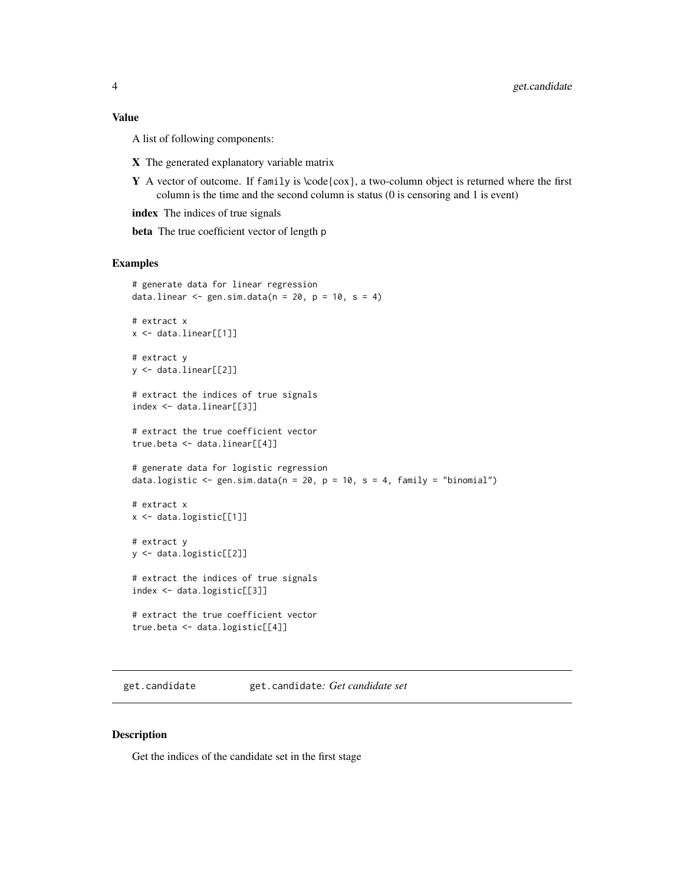#### <span id="page-3-0"></span>Value

A list of following components:

- X The generated explanatory variable matrix
- **Y** A vector of outcome. If family is  $\text{code}(\cos)$ , a two-column object is returned where the first column is the time and the second column is status (0 is censoring and 1 is event)

index The indices of true signals

beta The true coefficient vector of length p

#### Examples

```
# generate data for linear regression
data.linear \leq gen.sim.data(n = 20, p = 10, s = 4)
# extract x
x <- data.linear[[1]]
# extract y
y <- data.linear[[2]]
# extract the indices of true signals
index <- data.linear[[3]]
# extract the true coefficient vector
true.beta <- data.linear[[4]]
# generate data for logistic regression
data.logistic \leq gen.sim.data(n = 20, p = 10, s = 4, family = "binomial")
# extract x
x <- data.logistic[[1]]
# extract y
y <- data.logistic[[2]]
# extract the indices of true signals
index <- data.logistic[[3]]
# extract the true coefficient vector
true.beta <- data.logistic[[4]]
```
get.candidate get.candidate*: Get candidate set*

#### Description

Get the indices of the candidate set in the first stage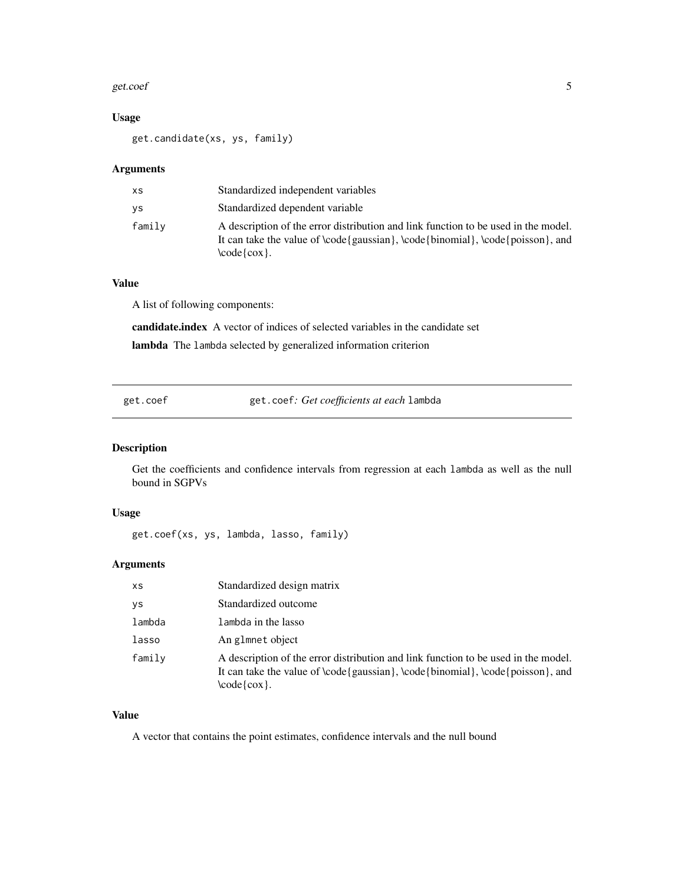#### <span id="page-4-0"></span>get.coef 5

#### Usage

get.candidate(xs, ys, family)

#### Arguments

| <b>XS</b> | Standardized independent variables                                                                                                                                                                                                  |
|-----------|-------------------------------------------------------------------------------------------------------------------------------------------------------------------------------------------------------------------------------------|
| ys        | Standardized dependent variable                                                                                                                                                                                                     |
| family    | A description of the error distribution and link function to be used in the model.<br>It can take the value of $\code{e}$ aussian $\cdot$ , $\code{b}$ binomial $\cdot$ , $\code{code}$ poisson $\cdot$ , and<br>$\code{\cos{\}}$ . |

#### Value

A list of following components:

candidate.index A vector of indices of selected variables in the candidate set lambda The lambda selected by generalized information criterion

get.coef get.coef*: Get coefficients at each* lambda

#### Description

Get the coefficients and confidence intervals from regression at each lambda as well as the null bound in SGPVs

#### Usage

get.coef(xs, ys, lambda, lasso, family)

#### Arguments

| XS     | Standardized design matrix                                                                                                                                                             |
|--------|----------------------------------------------------------------------------------------------------------------------------------------------------------------------------------------|
| ys     | Standardized outcome                                                                                                                                                                   |
| lambda | lambda in the lasso                                                                                                                                                                    |
| lasso  | An glmnet object                                                                                                                                                                       |
| family | A description of the error distribution and link function to be used in the model.<br>It can take the value of \code{gaussian}, \code{binomial}, \code{poisson}, and<br>$\code{\cos}.$ |

#### Value

A vector that contains the point estimates, confidence intervals and the null bound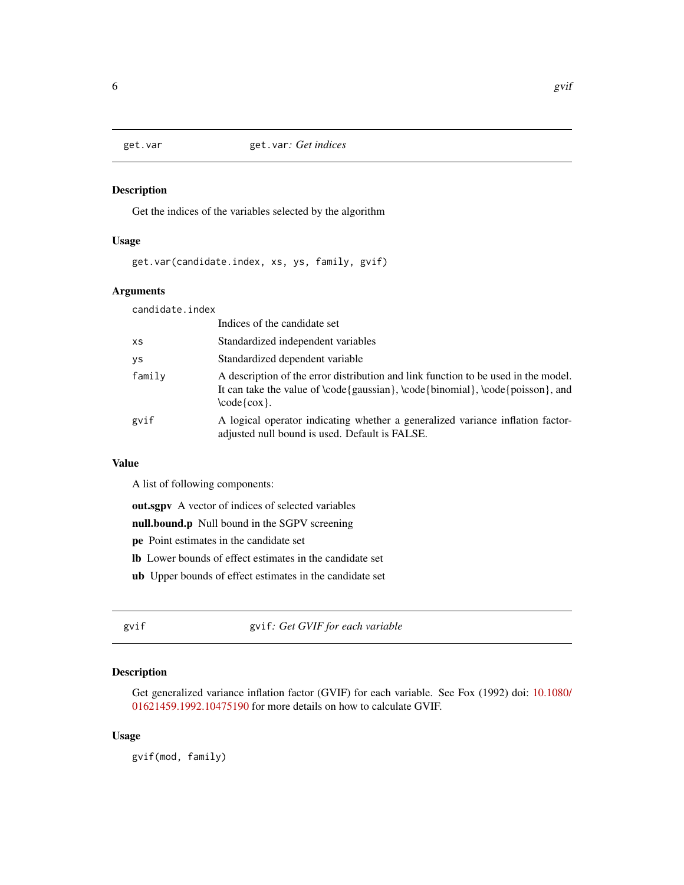<span id="page-5-0"></span>

#### Description

Get the indices of the variables selected by the algorithm

#### Usage

get.var(candidate.index, xs, ys, family, gvif)

#### Arguments

candidate.index

|           | Indices of the candidate set                                                                                                                                                               |
|-----------|--------------------------------------------------------------------------------------------------------------------------------------------------------------------------------------------|
| <b>XS</b> | Standardized independent variables                                                                                                                                                         |
| γs        | Standardized dependent variable                                                                                                                                                            |
| family    | A description of the error distribution and link function to be used in the model.<br>It can take the value of \code{gaussian}, \code{binomial}, \code{poisson}, and<br>$\code{code{cox}.$ |
| gvif      | A logical operator indicating whether a generalized variance inflation factor-<br>adjusted null bound is used. Default is FALSE.                                                           |

#### Value

A list of following components:

out.sgpv A vector of indices of selected variables

null.bound.p Null bound in the SGPV screening

- pe Point estimates in the candidate set
- lb Lower bounds of effect estimates in the candidate set
- ub Upper bounds of effect estimates in the candidate set

gvif gvif*: Get GVIF for each variable*

#### Description

Get generalized variance inflation factor (GVIF) for each variable. See Fox (1992) doi: [10.1080/](https://doi.org/10.1080/01621459.1992.10475190) [01621459.1992.10475190](https://doi.org/10.1080/01621459.1992.10475190) for more details on how to calculate GVIF.

#### Usage

gvif(mod, family)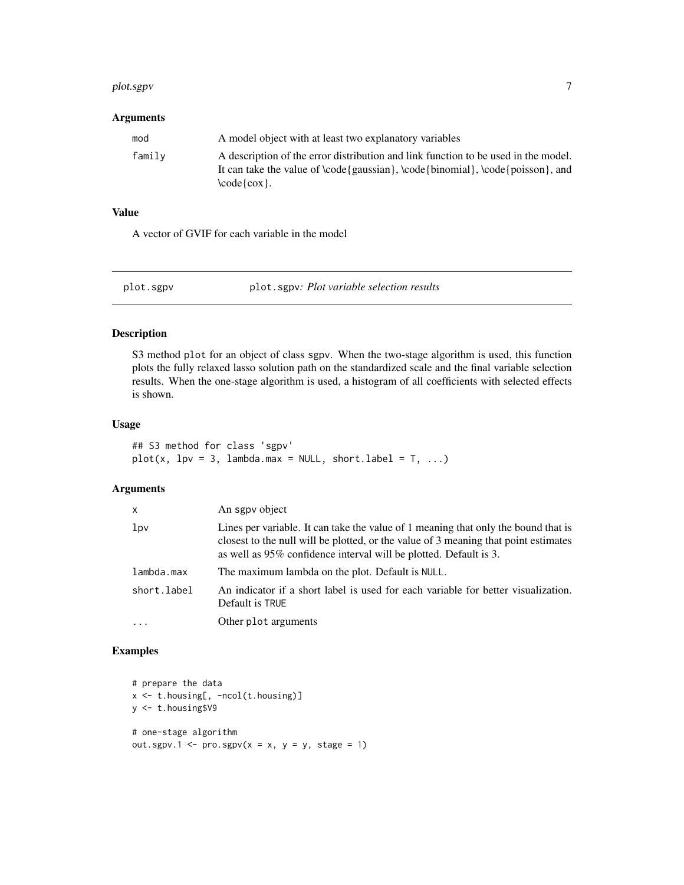#### <span id="page-6-0"></span>plot.sgpv 7

#### Arguments

| mod    | A model object with at least two explanatory variables                                                                                                                                                                              |
|--------|-------------------------------------------------------------------------------------------------------------------------------------------------------------------------------------------------------------------------------------|
| family | A description of the error distribution and link function to be used in the model.<br>It can take the value of $\code{e}$ aussian $\cdot$ , $\code{b}$ binomial $\cdot$ , $\code{code}$ poisson $\cdot$ , and<br>$\code{code{cox}.$ |

#### Value

A vector of GVIF for each variable in the model

<span id="page-6-1"></span>plot.sgpv plot.sgpv*: Plot variable selection results*

#### Description

S3 method plot for an object of class sgpv. When the two-stage algorithm is used, this function plots the fully relaxed lasso solution path on the standardized scale and the final variable selection results. When the one-stage algorithm is used, a histogram of all coefficients with selected effects is shown.

#### Usage

## S3 method for class 'sgpv'  $plot(x, 1pv = 3, 1ambda.max = NULL, short-label = T, ...)$ 

#### Arguments

| x                                                                                                                                                                                                                                                                 | An sgpv object                                                                                       |  |
|-------------------------------------------------------------------------------------------------------------------------------------------------------------------------------------------------------------------------------------------------------------------|------------------------------------------------------------------------------------------------------|--|
| 1 <sub>pv</sub><br>Lines per variable. It can take the value of 1 meaning that only the bound that is<br>closest to the null will be plotted, or the value of 3 meaning that point estimates<br>as well as 95% confidence interval will be plotted. Default is 3. |                                                                                                      |  |
| lambda.max                                                                                                                                                                                                                                                        | The maximum lambda on the plot. Default is NULL.                                                     |  |
| short.label                                                                                                                                                                                                                                                       | An indicator if a short label is used for each variable for better visualization.<br>Default is TRUE |  |
| $\cdots$                                                                                                                                                                                                                                                          | Other plot arguments                                                                                 |  |

```
# prepare the data
x <- t.housing[, -ncol(t.housing)]
y <- t.housing$V9
# one-stage algorithm
out.sgpv.1 <- pro.sgpv(x = x, y = y, stage = 1)
```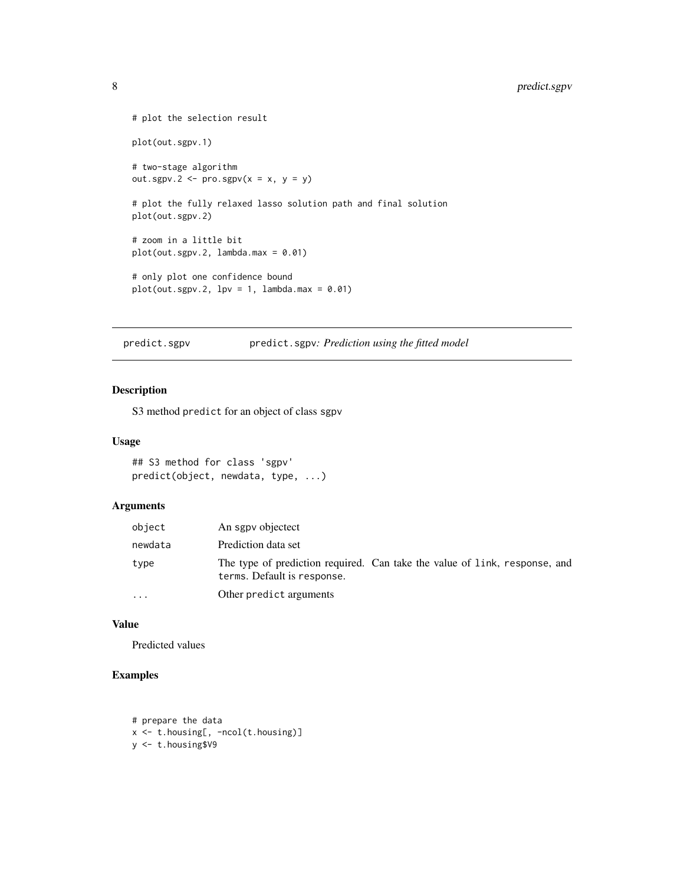```
# plot the selection result
plot(out.sgpv.1)
# two-stage algorithm
out.sgpv.2 <- pro.sgpv(x = x, y = y)
# plot the fully relaxed lasso solution path and final solution
plot(out.sgpv.2)
# zoom in a little bit
plot(out.sgpv.2, lambda.max = 0.01)# only plot one confidence bound
plot(out.sgpv.2, 1pv = 1, 1ambda.max = 0.01)
```
<span id="page-7-1"></span>predict.sgpv predict.sgpv*: Prediction using the fitted model*

#### Description

S3 method predict for an object of class sgpv

#### Usage

```
## S3 method for class 'sgpv'
predict(object, newdata, type, ...)
```
#### Arguments

| object    | An sgpv objectect                                                                                         |
|-----------|-----------------------------------------------------------------------------------------------------------|
| newdata   | Prediction data set                                                                                       |
| type      | The type of prediction required. Can take the value of link, response, and<br>terms. Default is response. |
| $\ddotsc$ | Other predict arguments                                                                                   |

#### Value

Predicted values

```
# prepare the data
x <- t.housing[, -ncol(t.housing)]
y <- t.housing$V9
```
<span id="page-7-0"></span>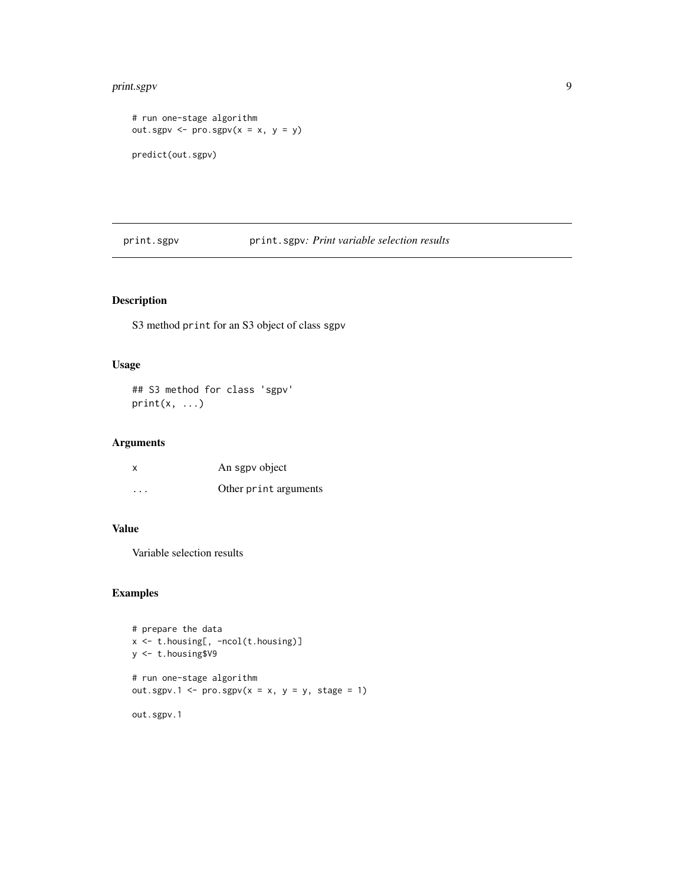#### <span id="page-8-0"></span>print.sgpv 9

```
# run one-stage algorithm
out.sgpv \leftarrow pro.sgpv(x = x, y = y)predict(out.sgpv)
```
<span id="page-8-1"></span>print.sgpv print.sgpv*: Print variable selection results*

#### Description

S3 method print for an S3 object of class sgpv

#### Usage

## S3 method for class 'sgpv'  $print(x, \ldots)$ 

#### Arguments

| x       | An sgpv object        |
|---------|-----------------------|
| $\cdot$ | Other print arguments |

### Value

Variable selection results

```
# prepare the data
x <- t.housing[, -ncol(t.housing)]
y <- t.housing$V9
# run one-stage algorithm
out.sgpv.1 <- pro.sgpv(x = x, y = y, stage = 1)out.sgpv.1
```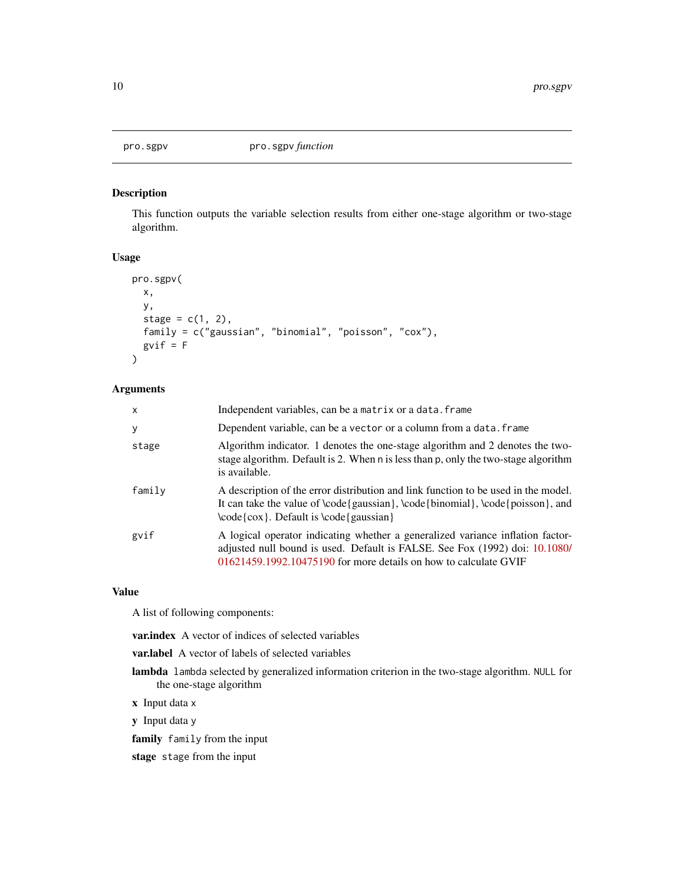<span id="page-9-0"></span>

#### Description

This function outputs the variable selection results from either one-stage algorithm or two-stage algorithm.

#### Usage

```
pro.sgpv(
  x,
  y,
  stage = c(1, 2),
  family = c("gaussian", "binomial", "poisson", "cox"),
  gvif = F
\mathcal{L}
```
#### Arguments

| x      | Independent variables, can be a matrix or a data. frame                                                                                                                                                                           |
|--------|-----------------------------------------------------------------------------------------------------------------------------------------------------------------------------------------------------------------------------------|
| у      | Dependent variable, can be a vector or a column from a data. frame                                                                                                                                                                |
| stage  | Algorithm indicator. 1 denotes the one-stage algorithm and 2 denotes the two-<br>stage algorithm. Default is 2. When n is less than p, only the two-stage algorithm<br>is available.                                              |
| family | A description of the error distribution and link function to be used in the model.<br>It can take the value of $\code{gaussian} \cdot \code{binomial} \cdot \code{poisson}$ , and<br>$\code{cov}.$ Default is $\code{gaussian}$   |
| gvif   | A logical operator indicating whether a generalized variance inflation factor-<br>adjusted null bound is used. Default is FALSE. See Fox (1992) doi: 10.1080/<br>01621459.1992.10475190 for more details on how to calculate GVIF |

#### Value

A list of following components:

var.index A vector of indices of selected variables

- var.label A vector of labels of selected variables
- lambda lambda selected by generalized information criterion in the two-stage algorithm. NULL for the one-stage algorithm
- x Input data x
- y Input data y
- family family from the input
- stage stage from the input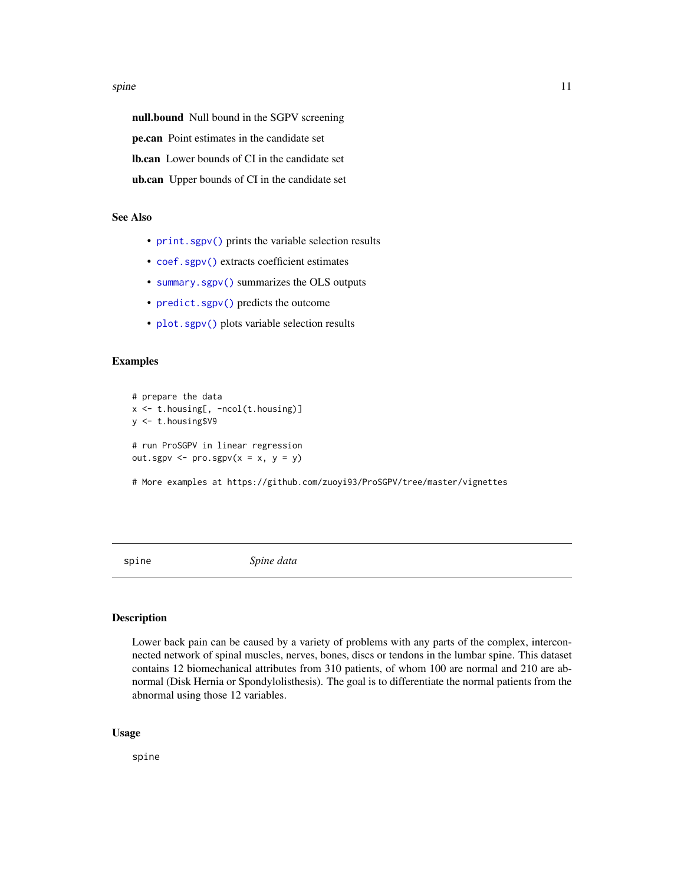#### <span id="page-10-0"></span>spine that the spine that the spine that the spine that the spine that the spine that the spine that the spine

null.bound Null bound in the SGPV screening pe.can Point estimates in the candidate set lb.can Lower bounds of CI in the candidate set ub.can Upper bounds of CI in the candidate set

#### See Also

- [print.sgpv\(\)](#page-8-1) prints the variable selection results
- [coef.sgpv\(\)](#page-1-1) extracts coefficient estimates
- [summary.sgpv\(\)](#page-11-1) summarizes the OLS outputs
- [predict.sgpv\(\)](#page-7-1) predicts the outcome
- [plot.sgpv\(\)](#page-6-1) plots variable selection results

#### Examples

```
# prepare the data
x <- t.housing[, -ncol(t.housing)]
y <- t.housing$V9
# run ProSGPV in linear regression
out.sgpv \leq pro.sgpv(x = x, y = y)
```
# More examples at https://github.com/zuoyi93/ProSGPV/tree/master/vignettes

spine *Spine data*

#### Description

Lower back pain can be caused by a variety of problems with any parts of the complex, interconnected network of spinal muscles, nerves, bones, discs or tendons in the lumbar spine. This dataset contains 12 biomechanical attributes from 310 patients, of whom 100 are normal and 210 are abnormal (Disk Hernia or Spondylolisthesis). The goal is to differentiate the normal patients from the abnormal using those 12 variables.

#### Usage

spine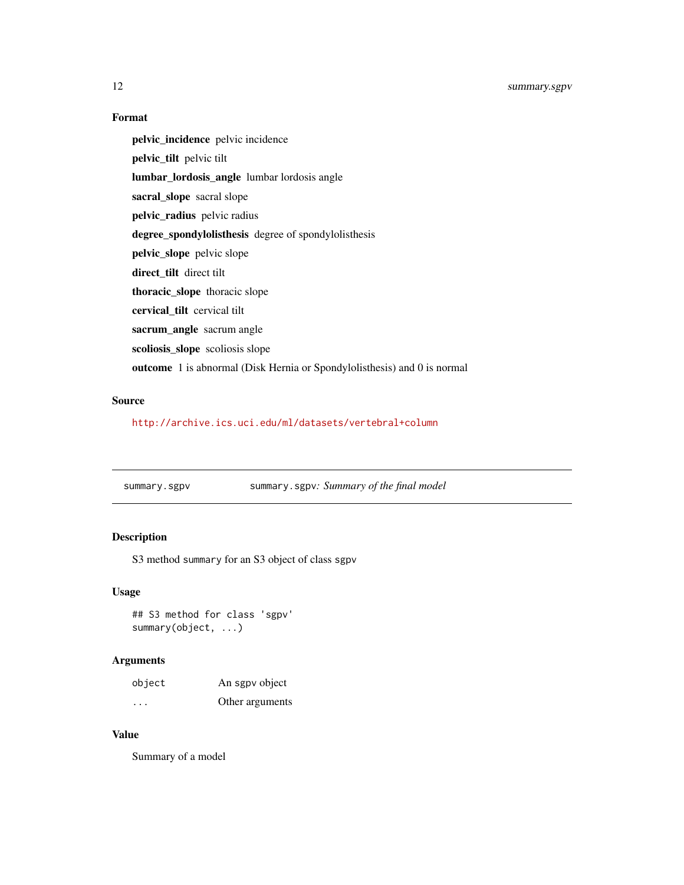#### Format

pelvic\_incidence pelvic incidence pelvic\_tilt pelvic tilt lumbar\_lordosis\_angle lumbar lordosis angle sacral\_slope sacral slope pelvic\_radius pelvic radius degree\_spondylolisthesis degree of spondylolisthesis pelvic\_slope pelvic slope direct\_tilt direct tilt thoracic\_slope thoracic slope cervical\_tilt cervical tilt sacrum\_angle sacrum angle scoliosis\_slope scoliosis slope outcome 1 is abnormal (Disk Hernia or Spondylolisthesis) and 0 is normal

#### Source

<http://archive.ics.uci.edu/ml/datasets/vertebral+column>

<span id="page-11-1"></span>summary.sgpv summary.sgpv*: Summary of the final model*

#### Description

S3 method summary for an S3 object of class sgpv

#### Usage

## S3 method for class 'sgpv' summary(object, ...)

#### Arguments

| object   | An sgpv object  |
|----------|-----------------|
| $\cdots$ | Other arguments |

#### Value

Summary of a model

<span id="page-11-0"></span>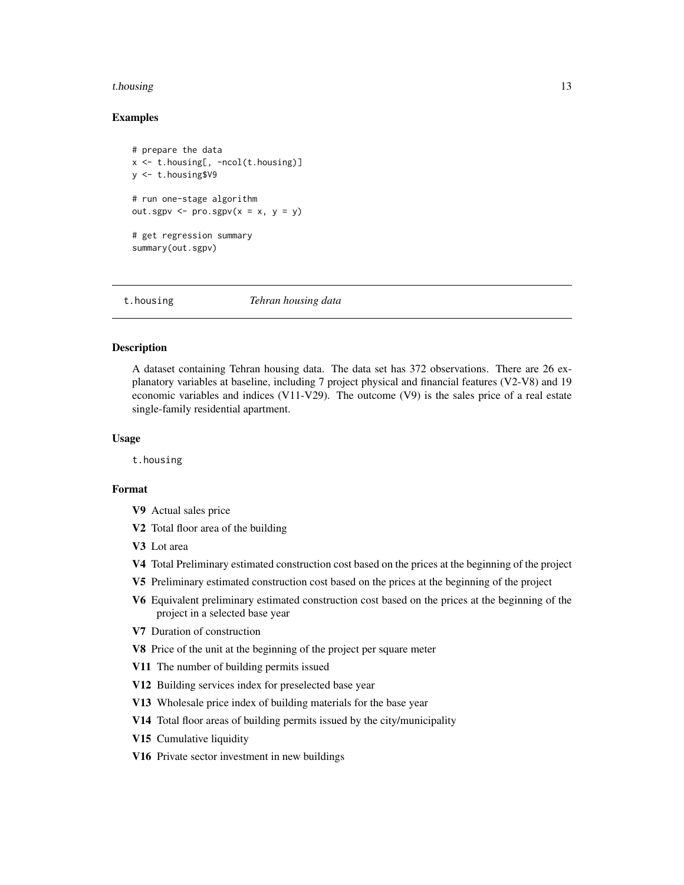#### <span id="page-12-0"></span>t.housing the state of the state of the state of the state of the state of the state of the state of the state of the state of the state of the state of the state of the state of the state of the state of the state of the

#### Examples

```
# prepare the data
x \leq t.housing[, -ncol(t.housing)]
y <- t.housing$V9
# run one-stage algorithm
out.sgpv \leq pro.sgpv(x = x, y = y)
# get regression summary
summary(out.sgpv)
```
t.housing *Tehran housing data*

#### **Description**

A dataset containing Tehran housing data. The data set has 372 observations. There are 26 explanatory variables at baseline, including 7 project physical and financial features (V2-V8) and 19 economic variables and indices (V11-V29). The outcome (V9) is the sales price of a real estate single-family residential apartment.

#### Usage

t.housing

#### Format

- V9 Actual sales price
- V<sub>2</sub> Total floor area of the building
- V3 Lot area
- V4 Total Preliminary estimated construction cost based on the prices at the beginning of the project
- V5 Preliminary estimated construction cost based on the prices at the beginning of the project
- V6 Equivalent preliminary estimated construction cost based on the prices at the beginning of the project in a selected base year
- V7 Duration of construction
- V8 Price of the unit at the beginning of the project per square meter
- V11 The number of building permits issued
- V12 Building services index for preselected base year
- V13 Wholesale price index of building materials for the base year
- V14 Total floor areas of building permits issued by the city/municipality
- V15 Cumulative liquidity
- V16 Private sector investment in new buildings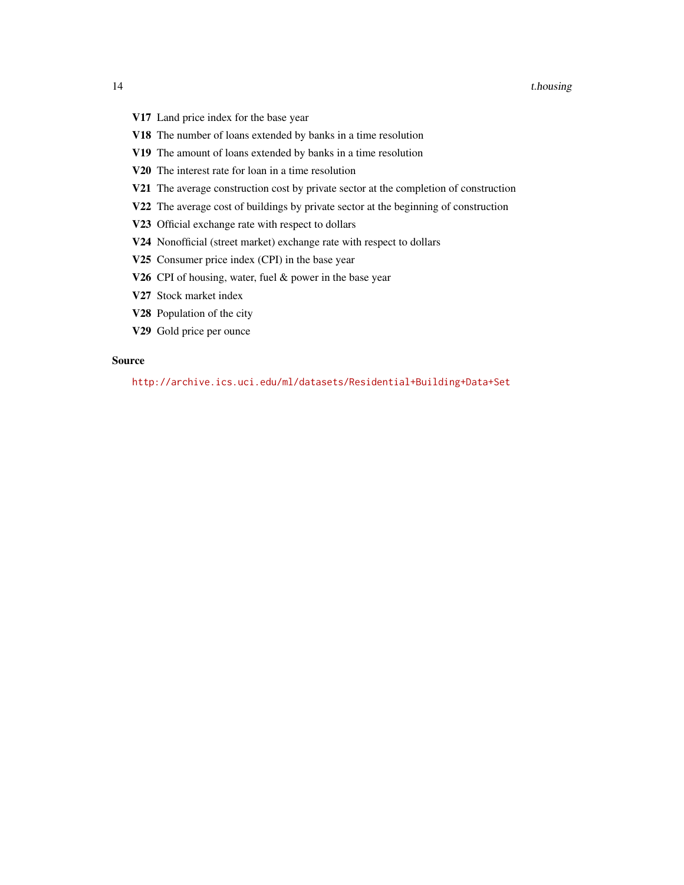- V17 Land price index for the base year
- V18 The number of loans extended by banks in a time resolution
- V19 The amount of loans extended by banks in a time resolution
- V20 The interest rate for loan in a time resolution
- V21 The average construction cost by private sector at the completion of construction
- V22 The average cost of buildings by private sector at the beginning of construction
- V23 Official exchange rate with respect to dollars
- V24 Nonofficial (street market) exchange rate with respect to dollars
- V25 Consumer price index (CPI) in the base year
- V26 CPI of housing, water, fuel & power in the base year
- V27 Stock market index
- V28 Population of the city
- V29 Gold price per ounce

#### Source

<http://archive.ics.uci.edu/ml/datasets/Residential+Building+Data+Set>